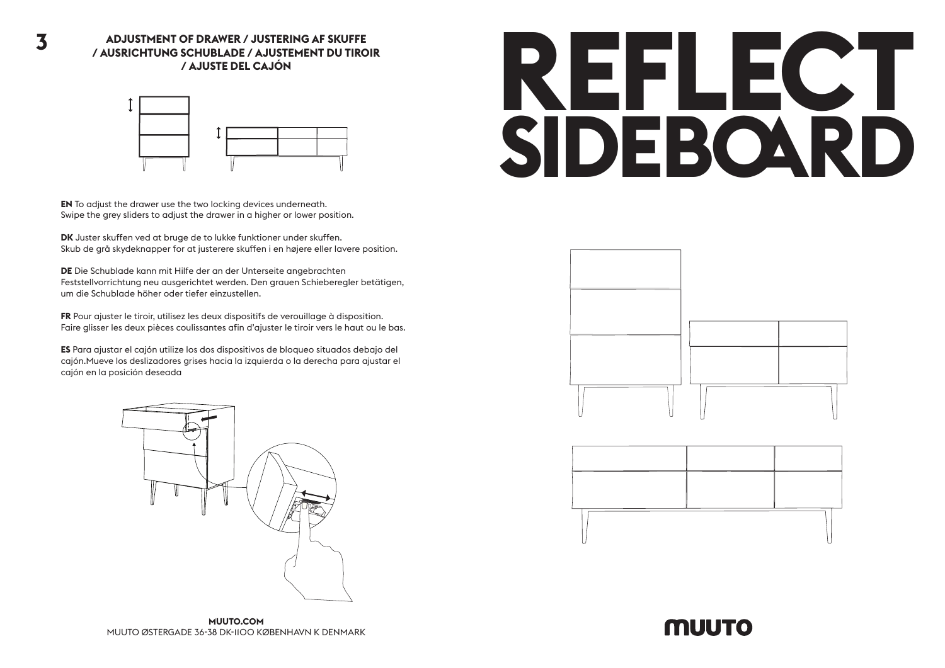

**EN** To adjust the drawer use the two locking devices underneath. Swipe the grey sliders to adjust the drawer in a higher or lower position.

**DK** Juster skuffen ved at bruge de to lukke funktioner under skuffen. Skub de grå skydeknapper for at justerere skuffen i en højere eller lavere position.

**DE** Die Schublade kann mit Hilfe der an der Unterseite angebrachten Feststellvorrichtung neu ausgerichtet werden. Den grauen Schieberegler betätigen, um die Schublade höher oder tiefer einzustellen.

**FR** Pour ajuster le tiroir, utilisez les deux dispositifs de verouillage à disposition. Faire glisser les deux pièces coulissantes afin d'ajuster le tiroir vers le haut ou le bas.

**ES** Para ajustar el cajón utilize los dos dispositivos de bloqueo situados debajo del cajón.Mueve los deslizadores grises hacia la izquierda o la derecha para ajustar el cajón en la posición deseada



## **REFLECT SIDEBOARD**